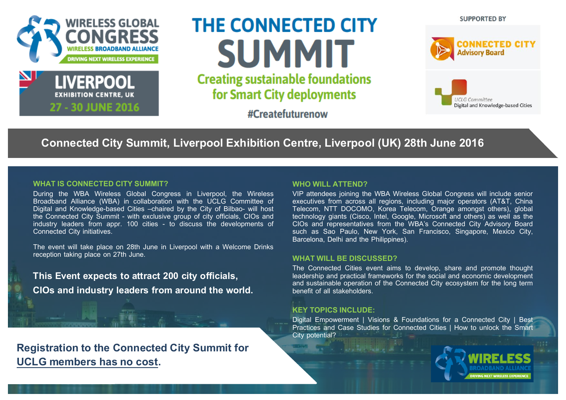



# **THE CONNECTED CITY SUMMIT Creating sustainable foundations**

for Smart City deployments

#Createfuturenow





# **Connected City Summit, Liverpool Exhibition Centre, Liverpool (UK) 28th June 2016**

#### **WHATIS CONNECTED CITY SUMMIT?**

During the WBA Wireless Global Congress in Liverpool, the Wireless Broadband Alliance (WBA) in collaboration with the UCLG Committee of Digital and Knowledge-based Cities –chaired by the City of Bilbao- will host the Connected City Summit - with exclusive group of city officials, CIOs and industry leaders from appr. 100 cities - to discuss the developments of Connected City initiatives.

The event will take place on 28th June in Liverpool with a Welcome Drinks reception taking place on 27th June.

**This Event expects to attract 200 city officials. CIOs andindustry leaders from aroundthe world.**

**Registration to the Connected City Summit for UCLG members has no cost.**

#### **WHO WILL ATTEND?**

VIP attendees joining the WBA Wireless Global Congress will include senior executives from across all regions, including major operators (AT&T, China Telecom, NTT DOCOMO, Korea Telecom, Orange amongst others), global technology giants (Cisco, Intel, Google, Microsoft and others) as well as the CIOs and representatives from the WBA's Connected City Advisory Board such as Sao Paulo, New York, San Francisco, Singapore, Mexico City, Barcelona, Delhi and the Philippines).

#### **WHAT WILL BE DISCUSSED?**

The Connected Cities event aims to develop, share and promote thought leadership and practical frameworks for the social and economic development and sustainable operation of the Connected City ecosystem for the long term benefit of all stakeholders.

#### **KEY TOPICS INCLUDE:**

Digital Empowerment | Visions & Foundations for a Connected City | Best Practices and Case Studies for Connected Cities | How to unlock the Smart City potential?

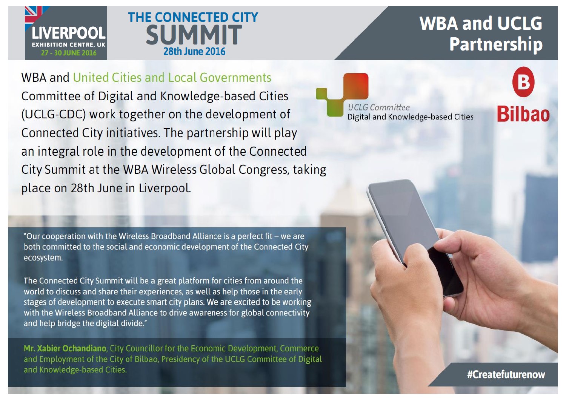



# **WBA and UCLG Partnership**

**WBA and United Cities and Local Governments** Committee of Digital and Knowledge-based Cities (UCLG-CDC) work together on the development of Connected City initiatives. The partnership will play an integral role in the development of the Connected City Summit at the WBA Wireless Global Congress, taking place on 28th June in Liverpool.

"Our cooperation with the Wireless Broadband Alliance is a perfect fit - we are both committed to the social and economic development of the Connected City ecosystem.

The Connected City Summit will be a great platform for cities from around the world to discuss and share their experiences, as well as help those in the early stages of development to execute smart city plans. We are excited to be working with the Wireless Broadband Alliance to drive awareness for global connectivity and help bridge the digital divide."

Mr. Xabier Ochandiano, City Councillor for the Economic Development, Commerce and Employment of the City of Bilbao, Presidency of the UCLG Committee of Digital and Knowledge-based Cities.

**UCLG Committee** Digital and Knowledge-based Cities

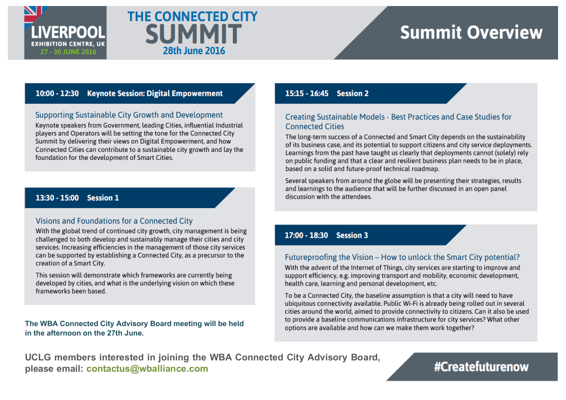



# **Summit Overview**

### 10:00 - 12:30 Kevnote Session: Digital Empowerment

#### Supporting Sustainable City Growth and Development

Keynote speakers from Government, leading Cities, influential Industrial players and Operators will be setting the tone for the Connected City Summit by delivering their views on Digital Empowerment, and how Connected Cities can contribute to a sustainable city growth and lay the foundation for the development of Smart Cities.

## 13:30 - 15:00 Session 1

#### Visions and Foundations for a Connected City

With the global trend of continued city growth, city management is being challenged to both develop and sustainably manage their cities and city services. Increasing efficiencies in the management of those city services can be supported by establishing a Connected City, as a precursor to the creation of a Smart City.

This session will demonstrate which frameworks are currently being developed by cities, and what is the underlying vision on which these frameworks been based.

#### The WBA Connected City Advisory Board meeting will be held in the afternoon on the 27th June.

### 15:15 - 16:45 Session 2

### Creating Sustainable Models - Best Practices and Case Studies for **Connected Cities**

The long-term success of a Connected and Smart City depends on the sustainability of its business case, and its potential to support citizens and city service deployments. Learnings from the past have taught us clearly that deployments cannot (solely) rely on public funding and that a clear and resilient business plan needs to be in place, based on a solid and future-proof technical roadmap.

Several speakers from around the globe will be presenting their strategies, results and learnings to the audience that will be further discussed in an open panel discussion with the attendees.

## 17:00 - 18:30 Session 3

## Futureproofing the Vision - How to unlock the Smart City potential?

With the advent of the Internet of Things, city services are starting to improve and support efficiency, e.g. improving transport and mobility, economic development, health care, learning and personal development, etc.

To be a Connected City, the baseline assumption is that a city will need to have ubiquitous connectivity available. Public Wi-Fi is already being rolled out in several cities around the world, aimed to provide connectivity to citizens. Can it also be used to provide a baseline communications infrastructure for city services? What other options are available and how can we make them work together?

UCLG members interested in joining the WBA Connected City Advisory Board, please email: contactus@wballiance.com

# #Createfuturenow